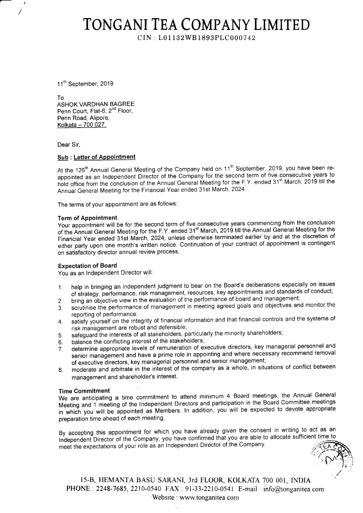### TONGANI TEA COMPANY LIMITED

CIN : L01132W81893PLC0007 42

11<sup>th</sup> September, 2019

To ASHOK VARDHAN BAGREE Penn Court, Flat-6, 2<sup>nd</sup> Floor, Penn Road, Alipore, Kolkata - 700 027.

Dear Sir,

#### Sub : Letter of Appointment

At the 126<sup>th</sup> Annual General Meeting of the Company held on 11<sup>th</sup> September, 2019, you have been reappointed as an Independent Director of the Company for the second term of five consecutive years to hold office from the conclusion of the Annual General Meeting for the F.Y. ended 31<sup>st</sup> March, 2019 till the Annual General Meeting for the Financial Year ended 31st March, 2024.

The terms of your appointment are as follows:

#### Term of Appointment

Your appointment will be for the second term of five consecutive years commencing from the conclusion of the Annual General Meeting for the F.Y. ended 31"tMarch, 2019 till the Annual General Meeting for the Financial year ended 31st Mirch, 2024, unless otherwise terminated earlier by and at the discretion of either party upon one month's written notice. Continuation of your contract of appointment is contingent on satisfactory director annual review process.

#### Expectation of Board

You as an lndependent Director will:

- 1. help in bringing an independent judgment to bear on the Board's deliberations especially on issues neip in bringing an independent judgment to beding the Doding Them Transformers and standards of conduct<br>of strategy, performance, risk management, resources, key appointments and standards of conduct
- 
- 2. bring an objective view in the evaluation of the performance of board and management;<br>3. scrutinise the performance of management in meeting agreed goals and objectives and scrutinise the performance of management in meeting agreed goals and objectives and monitor the reporting of performance;
- 4. satisfy yourself on the integrity of financial information and that financial controls and the systems of risk management are robust and defensible;
- 5. safeguard the interests of all stakeholders, particularly the minority shareholders;<br>6. balance the conflicting interest of the stakeholders;
- 
- 6. balance the conflicting interest of the stakeholders;<br>7. determine appropriate levels of remuneration of exdetermine appropriate levels of remuneration of executive directors, key managerial personnel and senior management and have a prime role in appointing and where necessary recommend removal of executive directors, key managerial personnel and senior management;
- g. moderate and arbitrate in the interest of the company as a whole, in situations of conflict between management and shareholder's interest.

#### Time Commitment

We are anticipating a time commitment to attend minimum 4 Board meetings, the Annual General Meeting and 1'meeting of the lndependent Directors and participation in the Board Committee meetings in which you will be appointed as Members. In addition, you will be expected to devote appropriate preparation time ahead of each meeting.

By accepting this appointment for which you have already given the consent in writing to act as an<br>Independent Director of the Company, you have confirmed that you are able to allocate sufficient time to Independent Director of the Company, you have confirmed that you are able to allocate sufficient time to meet the expectations of your role as an Independent Director of the Company.

15-B, HEMANTA BASU SARANI, 3rd FLOOR, KOLKATA 700 001, INDIA PHONE: 2248-7685, 2210-0540 FAX : 91-33-2210-0541 E-mail : info@tonganitea.com 'Website : www.tonganitea.com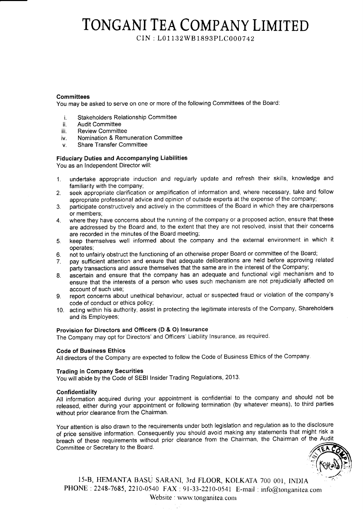## TONGANI TEA COMPANY LIMITED

CIN : L01 132WB1893PLC 0007 42

#### **Committees**

You may be asked to serve on one or more of the following Committees of the Board

- i Stakeholders Relationship Committee
- ii Audit Committee
- iii Review Committee
- iv Nomination & Remuneration Committee
- Share Transfer Committee  $\mathbf{v}$

#### Fiduciary Duties and Accompanying Liabilities

You as an lndependent Director will:

- 1. undertake appropriate induction and regularly update and refresh their skills, knowledge and familiarity with the company;
- 2. seek appropriate clarification or amplification of information and, where necessary, take and follow appropriate professional advice and opinion of outside experts at the expense of the company;
- 3. participate constructively and actively in the committees of the Board in which they are chairpersons or members;
- 4. where they have concerns about the running of the company or a proposed action, ensure that these are addressed by the Board and, to the extent that they are not resolved, insist that their concerns are recorded in the minutes of the Board meeting;
- 5. keep themselves well informed about the company and the external environment in which it operates;
- 
- 6. not to unfairly obstruct the functioning of an otherwise proper Board or committee of the Board;<br>7. pay sufficient attention and ensure that adequate deliberations are held before approving repay sufficient attention and ensure that adequate deliberations are held before approving related party transactions and assure themselves that the same are in the interest of the Company;
- 8. ascertain and ensure that the company has an adequate and functional vigil mechanism and to ensure that the interests of a person who uses such mechanism are not prejudicially affected on account of such use;
- g. report concerns about unethical behaviour, actual or suspected fraud or violation of the company's code of conduct or ethics policy;
- 10. acting within his authority, assist in protecting the legitimate interests of the Company, Shareholders and its Employees;

#### Provision for Directors and Officers (D & O) lnsurance

The Company may opt for Directors' and Officers' Liability lnsurance, as required.

#### Code of Business Ethics

All directors of the Company are expected to follow the Code of Business Ethics of the Company.

#### Trading in Company Securities

You will abide by the Code of SEBI lnsider Trading Regulations, 2013.

#### Confidentiality

All information acquired during your appointment is confidential to the company and should not be released, either during your appointment or following termination (by whatever means), to third parties without prior clearance from the Chairman.

Your attention is also drawn to the requirements under both legislation and regulation as to the disclosure of price sensitive information. Consequently you should avoid making any statements that might risk a breach of these requirements without prior clearance from the Chairman, the Chairman of the Audit Committee or Secretary to the Board.